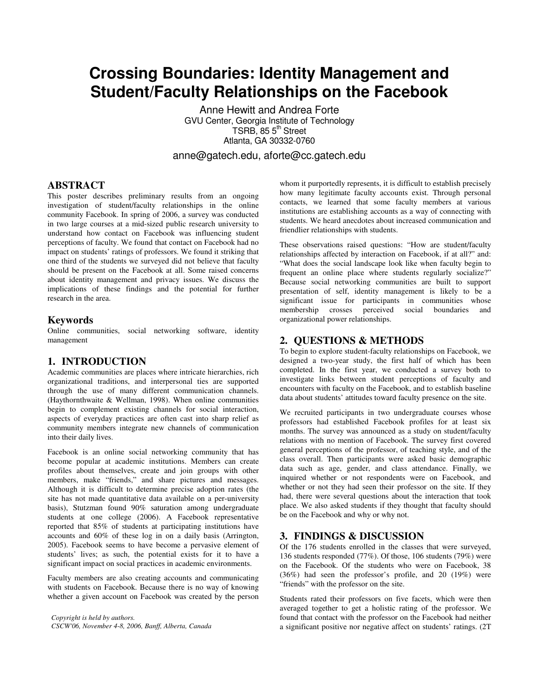# **Crossing Boundaries: Identity Management and Student/Faculty Relationships on the Facebook**

Anne Hewitt and Andrea Forte GVU Center, Georgia Institute of Technology TSRB, 85 5<sup>th</sup> Street Atlanta, GA 30332-0760

anne@gatech.edu, aforte@cc.gatech.edu

# **ABSTRACT**

This poster describes preliminary results from an ongoing investigation of student/faculty relationships in the online community Facebook. In spring of 2006, a survey was conducted in two large courses at a mid-sized public research university to understand how contact on Facebook was influencing student perceptions of faculty. We found that contact on Facebook had no impact on students' ratings of professors. We found it striking that one third of the students we surveyed did not believe that faculty should be present on the Facebook at all. Some raised concerns about identity management and privacy issues. We discuss the implications of these findings and the potential for further research in the area.

#### **Keywords**

Online communities, social networking software, identity management

### **1. INTRODUCTION**

Academic communities are places where intricate hierarchies, rich organizational traditions, and interpersonal ties are supported through the use of many different communication channels. (Haythornthwaite & Wellman, 1998). When online communities begin to complement existing channels for social interaction, aspects of everyday practices are often cast into sharp relief as community members integrate new channels of communication into their daily lives.

Facebook is an online social networking community that has become popular at academic institutions. Members can create profiles about themselves, create and join groups with other members, make "friends," and share pictures and messages. Although it is difficult to determine precise adoption rates (the site has not made quantitative data available on a per-university basis), Stutzman found 90% saturation among undergraduate students at one college (2006). A Facebook representative reported that 85% of students at participating institutions have accounts and 60% of these log in on a daily basis (Arrington, 2005). Facebook seems to have become a pervasive element of students' lives; as such, the potential exists for it to have a significant impact on social practices in academic environments.

Faculty members are also creating accounts and communicating with students on Facebook. Because there is no way of knowing whether a given account on Facebook was created by the person

*Copyright is held by authors. CSCW'06, November 4-8, 2006, Banff, Alberta, Canada* whom it purportedly represents, it is difficult to establish precisely how many legitimate faculty accounts exist. Through personal contacts, we learned that some faculty members at various institutions are establishing accounts as a way of connecting with students. We heard anecdotes about increased communication and friendlier relationships with students.

These observations raised questions: "How are student/faculty relationships affected by interaction on Facebook, if at all?" and: "What does the social landscape look like when faculty begin to frequent an online place where students regularly socialize?" Because social networking communities are built to support presentation of self, identity management is likely to be a significant issue for participants in communities whose membership crosses perceived social boundaries and organizational power relationships.

# **2. QUESTIONS & METHODS**

To begin to explore student-faculty relationships on Facebook, we designed a two-year study, the first half of which has been completed. In the first year, we conducted a survey both to investigate links between student perceptions of faculty and encounters with faculty on the Facebook, and to establish baseline data about students' attitudes toward faculty presence on the site.

We recruited participants in two undergraduate courses whose professors had established Facebook profiles for at least six months. The survey was announced as a study on student/faculty relations with no mention of Facebook. The survey first covered general perceptions of the professor, of teaching style, and of the class overall. Then participants were asked basic demographic data such as age, gender, and class attendance. Finally, we inquired whether or not respondents were on Facebook, and whether or not they had seen their professor on the site. If they had, there were several questions about the interaction that took place. We also asked students if they thought that faculty should be on the Facebook and why or why not.

# **3. FINDINGS & DISCUSSION**

Of the 176 students enrolled in the classes that were surveyed, 136 students responded (77%). Of those, 106 students (79%) were on the Facebook. Of the students who were on Facebook, 38 (36%) had seen the professor's profile, and 20 (19%) were "friends" with the professor on the site.

Students rated their professors on five facets, which were then averaged together to get a holistic rating of the professor. We found that contact with the professor on the Facebook had neither a significant positive nor negative affect on students' ratings. (2T